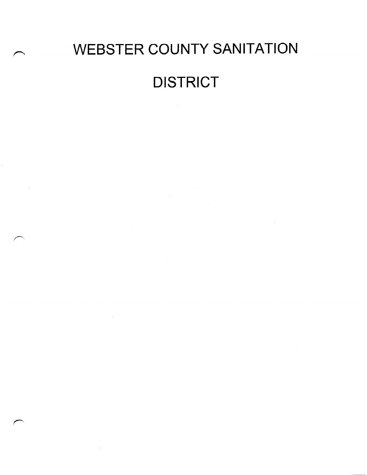# WEBSTER COUNTY SANITATION **DISTRICT**

 $\label{eq:2.1} \frac{1}{\sqrt{2\pi}}\int_{0}^{\infty} \frac{1}{\sqrt{2\pi}}\left(\frac{1}{\sqrt{2\pi}}\right)^{2\pi} \frac{1}{\sqrt{2\pi}}\int_{0}^{\infty} \frac{1}{\sqrt{2\pi}}\left(\frac{1}{\sqrt{2\pi}}\right)^{2\pi} \frac{1}{\sqrt{2\pi}}\frac{1}{\sqrt{2\pi}}\int_{0}^{\infty} \frac{1}{\sqrt{2\pi}}\frac{1}{\sqrt{2\pi}}\frac{1}{\sqrt{2\pi}}\frac{1}{\sqrt{2\pi}}\frac{1}{\sqrt{2\pi}}\frac{1}{$ 

 $\mathcal{L}^{\text{max}}_{\text{max}}$  ,  $\mathcal{L}^{\text{max}}_{\text{max}}$ 

 $\sim$ 

 $\mathcal{L}^{\text{max}}_{\text{max}}$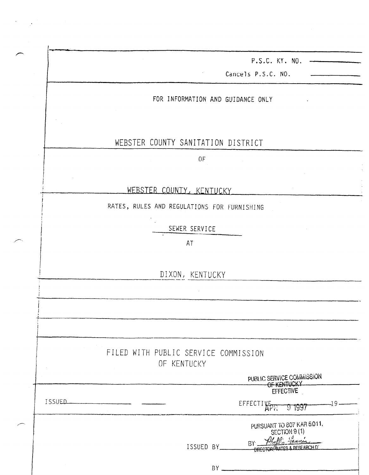|        | P.S.C. KY. NO.<br>Cancels P.S.C. NO.                                                                                     |
|--------|--------------------------------------------------------------------------------------------------------------------------|
|        | FOR INFORMATION AND GUIDANCE ONLY                                                                                        |
|        |                                                                                                                          |
|        | WEBSTER COUNTY SANITATION DISTRICT                                                                                       |
|        | 0F                                                                                                                       |
|        | WEBSTER COUNTY, KENTUCKY                                                                                                 |
|        | RATES, RULES AND REGULATIONS FOR FURNISHING                                                                              |
|        | SEWER SERVICE                                                                                                            |
|        | AT                                                                                                                       |
|        | DIXON, KENTUCKY                                                                                                          |
|        |                                                                                                                          |
|        |                                                                                                                          |
|        | FILED WITH PUBLIC SERVICE COMMISSION<br>OF KENTUCKY                                                                      |
|        | PUBLIC SERVICE COMMISSION<br>OF KENTUCKY                                                                                 |
| ISSUED | $-19-$<br>EFFECTIVE<br>T 1997                                                                                            |
|        | PURSUANT TO 807 KAR 5.011.<br>SECTION 9(1)<br>Philli Farnis<br>B<br>ISSUED BY_<br><b>NDECTOR GATES &amp; RESEARCH D'</b> |
|        |                                                                                                                          |

 $\label{eq:2.1} \frac{1}{\sqrt{2}}\sum_{i=1}^n\frac{1}{\sqrt{2}}\sum_{i=1}^n\frac{1}{\sqrt{2}}\sum_{i=1}^n\frac{1}{\sqrt{2}}\sum_{i=1}^n\frac{1}{\sqrt{2}}\sum_{i=1}^n\frac{1}{\sqrt{2}}\sum_{i=1}^n\frac{1}{\sqrt{2}}\sum_{i=1}^n\frac{1}{\sqrt{2}}\sum_{i=1}^n\frac{1}{\sqrt{2}}\sum_{i=1}^n\frac{1}{\sqrt{2}}\sum_{i=1}^n\frac{1}{\sqrt{2}}\sum_{i=1}^n\frac$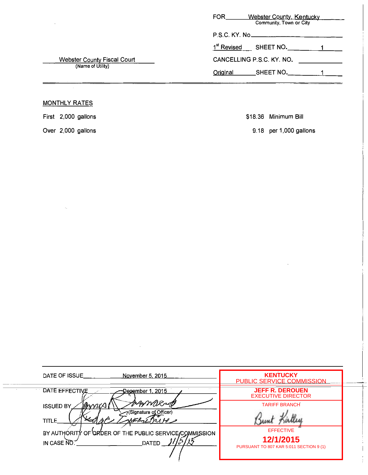|                                                         | <b>Webster County, Kentucky</b><br><b>FOR</b><br>Community, Town or City |
|---------------------------------------------------------|--------------------------------------------------------------------------|
|                                                         | P.S.C. KY. No                                                            |
| <b>Webster County Fiscal Court</b><br>(Name of Utility) | 1 <sup>st</sup> Revised<br>SHEET NO.                                     |
|                                                         | CANCELLING P.S.C. KY. NO.                                                |
|                                                         | SHEET NO.<br>Original                                                    |

## MONTHLY RATES

First 2,000 gallons

Over 2,000 gallons

 $\alpha_{\rm{B}}$ 

\$18.36 Minimum Bill

9.18 per 1,000 gallons

| DATE OF ISSUE<br>November 5, 2015                                                     | <b>KENTUCKY</b><br>PUBLIC SERVICE COMMISSION                             |  |
|---------------------------------------------------------------------------------------|--------------------------------------------------------------------------|--|
| DATE EFFECTIVE<br><u> December 1, 2015.</u>                                           | <b>JEFF R. DEROUEN</b><br><b>EXECUTIVE DIRECTOR</b>                      |  |
| ARMORAD<br>annis<br><b>ISSUED BY</b><br>(Signature of Officer)<br><b>TITLE</b>        | <b>TARIFF BRANCH</b>                                                     |  |
| BY AUTHORITY OF ORDER OF THE PUBLIC SERVICE COMMISSION<br>IN CASE NO.<br><b>DATED</b> | <b>EFFECTIVE</b><br>12/1/2015<br>PURSUANT TO 807 KAR 5:011 SECTION 9 (1) |  |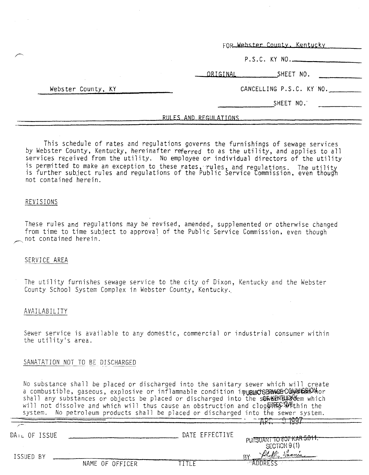FOR Webster County, Kentucky

P.S.C. KY NO.

ORIGINAL SHEET NO.

CANCELLING P.S.C. KY NO.

SHEET NO.'

#### RULES AND REGULATIONS

This schedule of rates and regulations governs the furnishings of sewage services by Webster County, Kentucky, hereinafter referred to as the utility, and applies to all services received from the utility. No employee or individual directors of the utility is permitted to make an exception to these rates,  $r$ ules, and requiestions is permitted to make an exception to these rates, rules, and regulations. The uti<br>is further subject rules and requlations of the Public Service Commission, even th  $\frac{1}{2}$ c,  $\frac{1}{2}$ c,  $\frac{1}{2}$ c,  $\frac{1}{2}$ c,  $\frac{1}{2}$ c,  $\frac{1}{2}$ c,  $\frac{1}{2}$ c,  $\frac{1}{2}$ c,  $\frac{1}{2}$ c,  $\frac{1}{2}$ c,  $\frac{1}{2}$ c,  $\frac{1}{2}$ c,  $\frac{1}{2}$ c,  $\frac{1}{2}$ c,  $\frac{1}{2}$ c,  $\frac{1}{2}$ c,  $\frac{1}{2}$ c,  $\frac{1}{2}$ c,  $\frac{1$ not contained herein.

#### REVISIONS

These rules and regulations may be revised, amended, supplemented or otherwise changed from time to time subject to approval of the Public Service Commission, even though -not contained herein.

#### SERVICE AREA

The utility furnishes sewage service to the city of Dixon, Kentucky and the Webster County School System Complex in Webster County, Kentucky..

#### AVAILABILITY

Sewer service is available to any domestic, commercial or industrial consumer w JEWEI SEIVILE IS ithin

#### SANATATION NOT TO BE DISCHARGED

Webster County, KY

No substance shall be placed or discharged into the sanitary sewer which will create a combustible, shall be placed or discharged into the sanitary sewer which a combustible, gaseous, explosive or inflammable condition inpurplucts any we how the solution shall any substances or objects be placed or discharged into the sOW SEN BUSS of which will not dissolve and which will thus cause an obstruction and clogo within the into the sewer : respectively the production start are produced on ansemaliged three circuits.

| DAIL OF ISSUE |                 | DATE EFFECTIVE | PURSUANT TO 807 KAR 5.011.            |
|---------------|-----------------|----------------|---------------------------------------|
| ISSUED BY     |                 |                | SECTION 9(1)<br>Phillis Jannie<br>DV. |
|               | NAME OF OFFICER |                |                                       |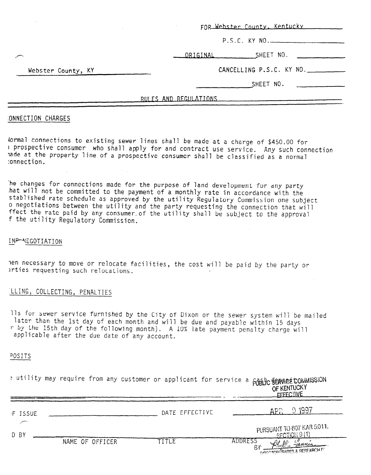|                    | RULES AND REGULATIONS                                       |
|--------------------|-------------------------------------------------------------|
|                    | $\overline{\phantom{a}}$ SHEET NO. $\overline{\phantom{a}}$ |
| Webster County, KY | CANCELLING P.S.C. KY NO.                                    |
|                    | SHEET NO.<br><u> ORIGINAL</u>                               |
|                    | P.S.C. KY NO.                                               |
|                    | FOR Webster County, Kentucky                                |

#### :ONNECTION CHARGES

lormal connections to existing sewer lines shall be made at a charge of \$450.00 for 1 prospective consumer who shall apply for and contract use service. Any such connection lade at the property line of a prospective consumer shall be classified as a normal :onnection.

'he changes for connections made for the purpose of land development for any party .hat will not be committed to the payment of a monthly rate in accordance with the stablished rate schedule as approved by the utility Regulatory Commission one subject o negotiations between the utility and the party requesting the connection that will ffect the rate paid by any consumer.of the utility shall be subject to the approval f the utility Regulatory Commission.

#### INF-NEGOTIATION

7en necessary to move or relocate facilities, the cost will be paid by the party or irties requesting such relocations.

#### 'LLING, COLLECTING, PENALTIES

11s for sewer service furnished by the City of Dixon or the sewer system will be mailed later than the 1st day of each month and will be due and payable within 15 days r by the 15th day of the following month). A 10% late payment penalty charge will applicable after the due date of any account.

#### POSITS

|  |  |  |  |  |  | e utility may require from any customer or applicant for service a public semplet commission |
|--|--|--|--|--|--|----------------------------------------------------------------------------------------------|
|  |  |  |  |  |  | OF KENTUCKY<br>CCCCOTIVE                                                                     |

| F ISSUE |                 | DATE EFFECTIVE | -1997                                             |
|---------|-----------------|----------------|---------------------------------------------------|
| D BY    |                 |                | PURSUANT TO 807 KAR 5:011.<br>$S$ FCTION $9(1)$   |
|         | NAME OF OFFICER | TITLE          | ADDRESS<br><b>NORTOR ARATES &amp; RESEARCH D'</b> |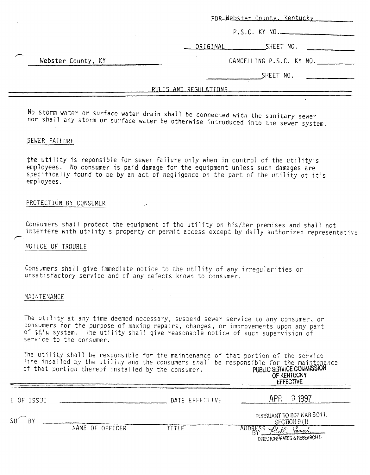|                    | FOR Webster County, Kentucky |
|--------------------|------------------------------|
|                    | P.S.C. KY NO.                |
|                    | _SHEET NO.<br>ORIGINAL       |
| Webster County, KY | CANCELLING P.S.C. KY NO.     |
|                    | SHEET NO.                    |
|                    | RULES AND REGULATIONS        |
|                    |                              |

No storm water or surface water drain shall be connected with the sanitary sewer nor shall any storm or surface water be otherwise introduced into the sewer system.

#### SEWER FAILURE

P

F

the utility is reponsible for sewer failure only when in control of the utility's employees. No consumer is paid damage for the equipment unless such damages are specifically found to be by an act of negligence on the part of the utility ot it's employees.

#### PROTECTION BY CONSUMER

Consumers shall protect the equipment of the utility on his/her premises and shall not interfere with utility's property or permit access except by daily authorized representative

#### NOTICE OF TROUBLE

Consumers shall give immediate notice to the utility of any irregularities or unsatisfactory service and of any defects known to consumer.

#### MAINTENANCE

The utility at any time deemed necessary, suspend sewer service to any consumer, or consumers for the purpose of making repairs, changes, or improvements upon any part of \$%!a system, The utility shall give reasonable notice of such supervision of service to the consumer.

The utility shall be responsible for the maintenance of that portion of the service line insalled by the utility and the consumers shall be responsible for the maintenance<br>of that portion thereof installed by the consumer. PUBLIC SERVICE COMMISSION of that portion thereof installed by the consumer.

OF KENTUCKY EFFECTIVE

| E OF ISSUE |                 | DATE EFFECTIVE  | 9 1997<br>APR                              |
|------------|-----------------|-----------------|--------------------------------------------|
| SU<br>BΥ   |                 |                 | PURSUANT TO 807 KAR 5:011.<br>SECTION 9(1) |
|            | NAME OF OFFICER | $T$ i $T$ i $F$ | DIRECTOR CRATES & RESEARCH D               |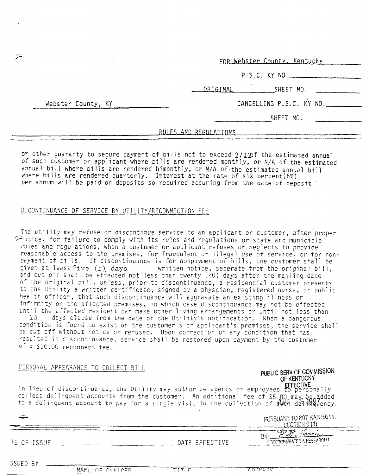FOR Webster County, Kentucky

P.S.C. KY NO.

ORIGINAL SHEET NO.

Webster County, KY

# CANCELLING P.S.C. KY NO.

SHEET NO.

RULES AND REGULATIONS

or other guaranty to secure payment of bills not to exceed  $2/1.2$ of the estimated annual of such customer or applicant where bills are rendered monthly, or N/A of the estimated annual bill where bills are rendered bimonthly, or N/A of.the estimated annual bill where bills are rendered quarterly. Interest at the rate of six percent(6%) per annum will be paid on deposits so required accuring from the date of deposit

#### DiCONTINUANCE OF SERVICE BY UTILITY/RECONNECTION FEE

The utility may refuse or discontinue service to an applicant or customer, after proper  $\widehat{\frown}$  otice, for failure to comply with its rules and regulations or state and municiple rules and regulations, when a customer or applicant refuses or neglects to provide reasonable access to the premises, for fraudulent or illegal use of service, or for nonpayment of bills. If discontinuance is for nonpayment of bills, the customer shall be given at least five (5) days. written notice, seperate from the original bill, and cut off shall be effected not less than twenty (20) days after the mailing date Of the original bill, unless, prior to discontinuance, a residential customer presents to the Utility a written certificate, signed by a physcian, registered nurse, or public health officer, that such discontinuance will aggravate an existing illness or infirmity on the affected premises, in which case discontinuance may not be effected until the affected resident can make other living arrangements or until not less than

10 days elapse from the date of the Utility's notification. When a dangerous condition is found to exist on the customer's or applicant's premises, the service shall be cut off without notice or refused, Upon correction of any condition that has resulted in discontinuance, service shall be restored upon payment by the customer of a 510.00 reccnnect fee.

#### PERSGNAL APPEARANCE TO COLLECT BILL

### PUBLIC SERVICE COMMISSION OF KENTUCKY

In lieu of discontinuance, the Utility may authorize agents or employees to persona collect delinquent accounts from the customer. An additi to a delinquent account to pay for a single visit in the collection of

| PURSUANT TO 807 KAR 5:011. |  |  |
|----------------------------|--|--|
| SECTION 9(1)               |  |  |

 $\mathscr{M}^{(1)}_{\sigma}$  is **INFECTOR GRATES & RESEARCH F** 

*-relamen* 

| TE. | 0F |  | ISSUE |  |
|-----|----|--|-------|--|
|     |    |  |       |  |

حت

SSUED BY

NAME OF OFFICER

TITIF

DATE EFFECTIVE

manar

BY.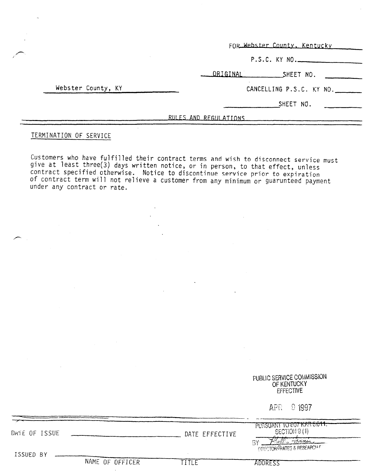FOR Webster County, Kentucky

P.S.C. KY NO.

ORIGINAL SHEET NO.

Webster County, KY

CANCELLING P.S.C. KY NO.

SHEET NO.

RULES AND REGULATIONS

#### TERMINATION OF SERVICE

Customers who have fulfilled their contract terms and wish to disconnect service must give at least three(3) days written notice, or in person, to that effect, unless contract specified otherwise. Notice to discontinue service prior to expiration of contract term will not relieve a customer from any minimum or guarunteed payment under any contract or rate.

|               |                 |                   | PUBLIC SERVICE COMMISSION<br>OF KENTUCKY<br><b>EFFECTIVE</b>         |  |
|---------------|-----------------|-------------------|----------------------------------------------------------------------|--|
|               |                 |                   | APR 9 1997                                                           |  |
| DATE OF ISSUE |                 | DATE EFFECTIVE    | PURSUANT TO BOT KAR 5.011.<br>SECTION 9(1)                           |  |
| ISSUED BY     | NAME OF OFFICER | $\cdot$<br>TITI E | 7 Williams<br>ņγ<br><b>OPECTOR GRATES &amp; RESEARCH F</b><br>ADDRES |  |